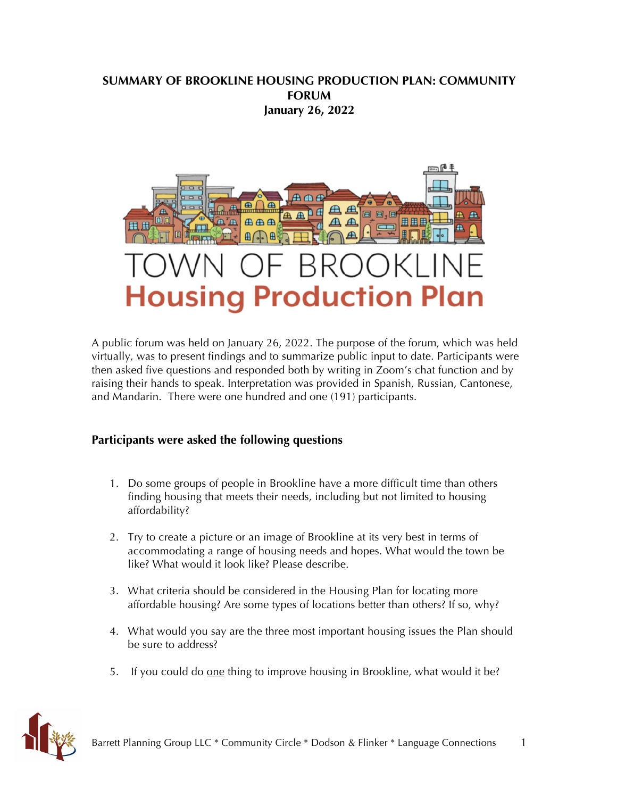# **SUMMARY OF BROOKLINE HOUSING PRODUCTION PLAN: COMMUNITY FORUM January 26, 2022**



A public forum was held on January 26, 2022. The purpose of the forum, which was held virtually, was to present findings and to summarize public input to date. Participants were then asked five questions and responded both by writing in Zoom's chat function and by raising their hands to speak. Interpretation was provided in Spanish, Russian, Cantonese, and Mandarin. There were one hundred and one (191) participants.

# **Participants were asked the following questions**

- 1. Do some groups of people in Brookline have a more difficult time than others finding housing that meets their needs, including but not limited to housing affordability?
- 2. Try to create a picture or an image of Brookline at its very best in terms of accommodating a range of housing needs and hopes. What would the town be like? What would it look like? Please describe.
- 3. What criteria should be considered in the Housing Plan for locating more affordable housing? Are some types of locations better than others? If so, why?
- 4. What would you say are the three most important housing issues the Plan should be sure to address?
- 5. If you could do one thing to improve housing in Brookline, what would it be?

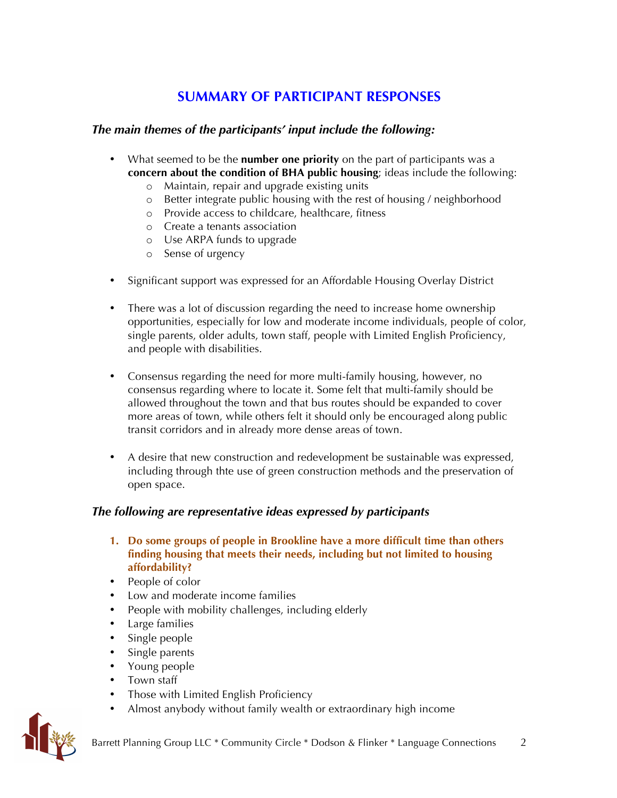# **SUMMARY OF PARTICIPANT RESPONSES**

# *The main themes of the participants' input include the following:*

- What seemed to be the **number one priority** on the part of participants was a **concern about the condition of BHA public housing**; ideas include the following:
	- o Maintain, repair and upgrade existing units
	- o Better integrate public housing with the rest of housing / neighborhood
	- o Provide access to childcare, healthcare, fitness
	- o Create a tenants association
	- o Use ARPA funds to upgrade
	- o Sense of urgency
- Significant support was expressed for an Affordable Housing Overlay District
- There was a lot of discussion regarding the need to increase home ownership opportunities, especially for low and moderate income individuals, people of color, single parents, older adults, town staff, people with Limited English Proficiency, and people with disabilities.
- Consensus regarding the need for more multi-family housing, however, no consensus regarding where to locate it. Some felt that multi-family should be allowed throughout the town and that bus routes should be expanded to cover more areas of town, while others felt it should only be encouraged along public transit corridors and in already more dense areas of town.
- A desire that new construction and redevelopment be sustainable was expressed, including through thte use of green construction methods and the preservation of open space.

# *The following are representative ideas expressed by participants*

- **1. Do some groups of people in Brookline have a more difficult time than others finding housing that meets their needs, including but not limited to housing affordability?**
- People of color
- Low and moderate income families
- People with mobility challenges, including elderly
- Large families
- Single people
- Single parents
- Young people
- Town staff
- Those with Limited English Proficiency
- Almost anybody without family wealth or extraordinary high income

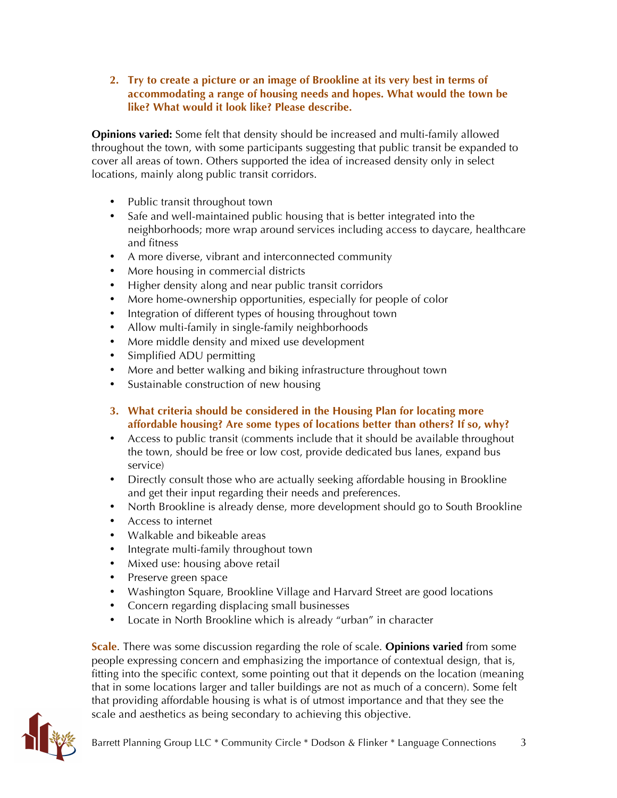**2. Try to create a picture or an image of Brookline at its very best in terms of accommodating a range of housing needs and hopes. What would the town be like? What would it look like? Please describe.** 

**Opinions varied:** Some felt that density should be increased and multi-family allowed throughout the town, with some participants suggesting that public transit be expanded to cover all areas of town. Others supported the idea of increased density only in select locations, mainly along public transit corridors.

- Public transit throughout town
- Safe and well-maintained public housing that is better integrated into the neighborhoods; more wrap around services including access to daycare, healthcare and fitness
- A more diverse, vibrant and interconnected community
- More housing in commercial districts
- Higher density along and near public transit corridors
- More home-ownership opportunities, especially for people of color
- Integration of different types of housing throughout town
- Allow multi-family in single-family neighborhoods
- More middle density and mixed use development
- Simplified ADU permitting
- More and better walking and biking infrastructure throughout town
- Sustainable construction of new housing
- **3. What criteria should be considered in the Housing Plan for locating more affordable housing? Are some types of locations better than others? If so, why?**
- Access to public transit (comments include that it should be available throughout the town, should be free or low cost, provide dedicated bus lanes, expand bus service)
- Directly consult those who are actually seeking affordable housing in Brookline and get their input regarding their needs and preferences.
- North Brookline is already dense, more development should go to South Brookline
- Access to internet
- Walkable and bikeable areas
- Integrate multi-family throughout town
- Mixed use: housing above retail
- Preserve green space
- Washington Square, Brookline Village and Harvard Street are good locations
- Concern regarding displacing small businesses
- Locate in North Brookline which is already "urban" in character

**Scale**. There was some discussion regarding the role of scale. **Opinions varied** from some people expressing concern and emphasizing the importance of contextual design, that is, fitting into the specific context, some pointing out that it depends on the location (meaning that in some locations larger and taller buildings are not as much of a concern). Some felt that providing affordable housing is what is of utmost importance and that they see the scale and aesthetics as being secondary to achieving this objective.

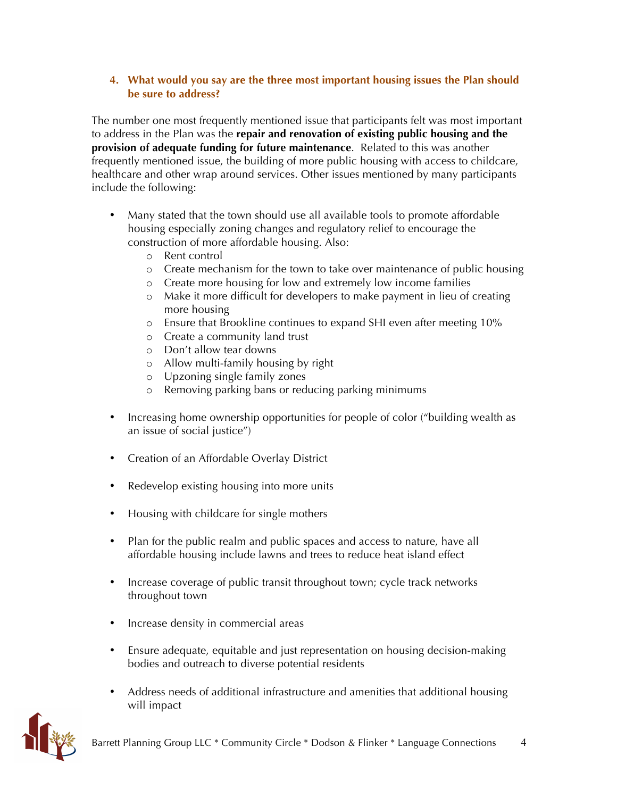#### **4. What would you say are the three most important housing issues the Plan should be sure to address?**

The number one most frequently mentioned issue that participants felt was most important to address in the Plan was the **repair and renovation of existing public housing and the provision of adequate funding for future maintenance**. Related to this was another frequently mentioned issue, the building of more public housing with access to childcare, healthcare and other wrap around services. Other issues mentioned by many participants include the following:

- Many stated that the town should use all available tools to promote affordable housing especially zoning changes and regulatory relief to encourage the construction of more affordable housing. Also:
	- o Rent control
	- o Create mechanism for the town to take over maintenance of public housing
	- o Create more housing for low and extremely low income families
	- o Make it more difficult for developers to make payment in lieu of creating more housing
	- o Ensure that Brookline continues to expand SHI even after meeting 10%
	- o Create a community land trust
	- o Don't allow tear downs
	- o Allow multi-family housing by right
	- o Upzoning single family zones
	- o Removing parking bans or reducing parking minimums
- Increasing home ownership opportunities for people of color ("building wealth as an issue of social justice")
- Creation of an Affordable Overlay District
- Redevelop existing housing into more units
- Housing with childcare for single mothers
- Plan for the public realm and public spaces and access to nature, have all affordable housing include lawns and trees to reduce heat island effect
- Increase coverage of public transit throughout town; cycle track networks throughout town
- Increase density in commercial areas
- Ensure adequate, equitable and just representation on housing decision-making bodies and outreach to diverse potential residents
- Address needs of additional infrastructure and amenities that additional housing will impact

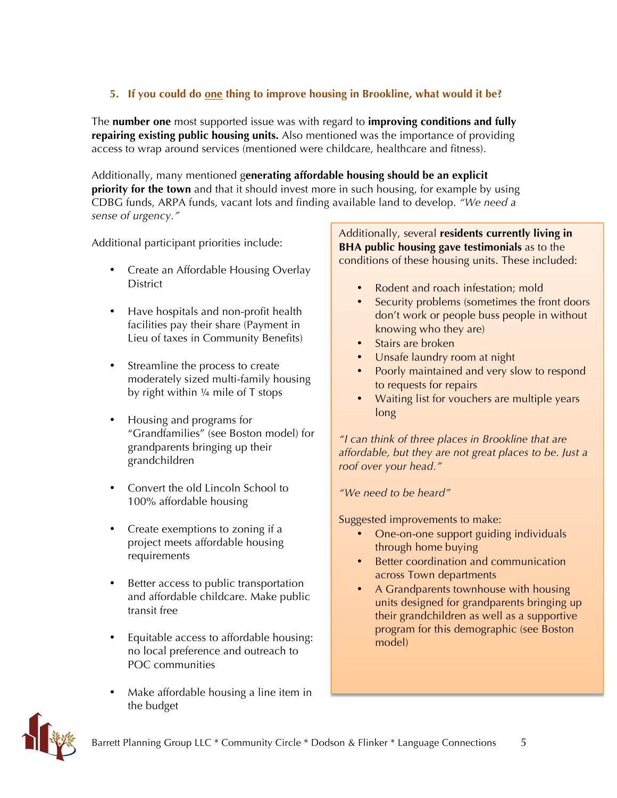# **5. If you could do one thing to improve housing in Brookline, what would it be?**

The **number one** most supported issue was with regard to **improving conditions and fully repairing existing public housing units.** Also mentioned was the importance of providing access to wrap around services (mentioned were childcare, healthcare and fitness).

Additionally, many mentioned g**enerating affordable housing should be an explicit priority for the town** and that it should invest more in such housing, for example by using CDBG funds, ARPA funds, vacant lots and finding available land to develop. *"We need a sense of urgency."*

Additional participant priorities include:

- Create an Affordable Housing Overlay **District**
- Have hospitals and non-profit health facilities pay their share (Payment in Lieu of taxes in Community Benefits)
- Streamline the process to create moderately sized multi-family housing by right within ¼ mile of T stops
- Housing and programs for "Grandfamilies" (see Boston model) for grandparents bringing up their grandchildren
- Convert the old Lincoln School to 100% affordable housing
- Create exemptions to zoning if a project meets affordable housing requirements
- Better access to public transportation and affordable childcare. Make public transit free
- Equitable access to affordable housing: no local preference and outreach to POC communities
- Make affordable housing a line item in the budget

Additionally, several **residents currently living in BHA public housing gave testimonials** as to the conditions of these housing units. These included:

- Rodent and roach infestation; mold
- Security problems (sometimes the front doors don't work or people buss people in without knowing who they are)
- Stairs are broken
- Unsafe laundry room at night
- Poorly maintained and very slow to respond to requests for repairs
- Waiting list for vouchers are multiple years long

*"I can think of three places in Brookline that are affordable, but they are not great places to be. Just a roof over your head."*

*"We need to be heard"*

Suggested improvements to make:

- One-on-one support guiding individuals through home buying
- Better coordination and communication across Town departments
- A Grandparents townhouse with housing units designed for grandparents bringing up their grandchildren as well as a supportive program for this demographic (see Boston model)

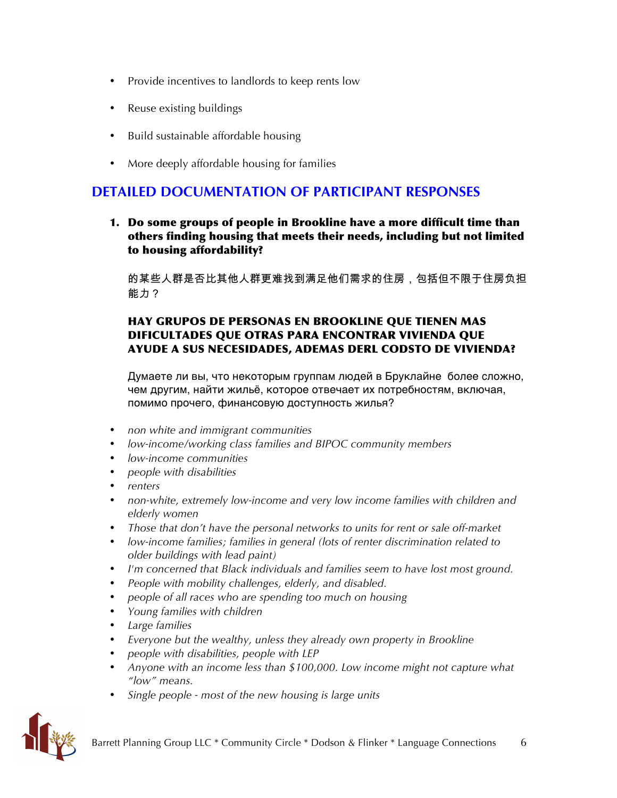- Provide incentives to landlords to keep rents low
- Reuse existing buildings
- Build sustainable affordable housing
- More deeply affordable housing for families

# **DETAILED DOCUMENTATION OF PARTICIPANT RESPONSES**

1. Do some groups of people in Brookline have a more difficult time than others finding housing that meets their needs, including but not limited to housing affordability?

的某些人群是否比其他人群更难找到满足他们需求的住房,包括但不限于住房负担 能力?

### HAY GRUPOS DE PERSONAS EN BROOKLINE QUE TIENEN MAS DIFICULTADES QUE OTRAS PARA ENCONTRAR VIVIENDA QUE AYUDE A SUS NECESIDADES, ADEMAS DERL CODSTO DE VIVIENDA?

Думаете ли вы, что некоторым группам людей в Бруклайне более сложно, чем другим, найти жильё, которое отвечает их потребностям, включая, помимо прочего, финансовую доступность жилья?

- *non white and immigrant communities*
- *low-income/working class families and BIPOC community members*
- *low-income communities*
- *people with disabilities*
- *renters*
- *non-white, extremely low-income and very low income families with children and elderly women*
- *Those that don't have the personal networks to units for rent or sale off-market*
- *low-income families; families in general (lots of renter discrimination related to older buildings with lead paint)*
- *I'm concerned that Black individuals and families seem to have lost most ground.*
- *People with mobility challenges, elderly, and disabled.*
- *people of all races who are spending too much on housing*
- *Young families with children*
- *Large families*
- *Everyone but the wealthy, unless they already own property in Brookline*
- *people with disabilities, people with LEP*
- *Anyone with an income less than \$100,000. Low income might not capture what "low" means.*
- *Single people - most of the new housing is large units*

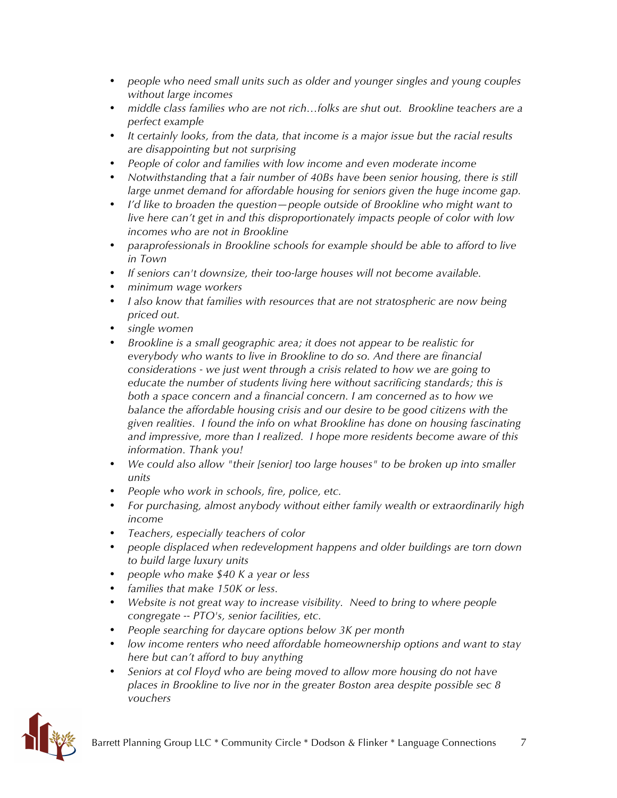- *people who need small units such as older and younger singles and young couples without large incomes*
- *middle class families who are not rich…folks are shut out. Brookline teachers are a perfect example*
- *It certainly looks, from the data, that income is a major issue but the racial results are disappointing but not surprising*
- *People of color and families with low income and even moderate income*
- *Notwithstanding that a fair number of 40Bs have been senior housing, there is still large unmet demand for affordable housing for seniors given the huge income gap.*
- *I'd like to broaden the question—people outside of Brookline who might want to live here can't get in and this disproportionately impacts people of color with low incomes who are not in Brookline*
- *paraprofessionals in Brookline schools for example should be able to afford to live in Town*
- *If seniors can't downsize, their too-large houses will not become available.*
- *minimum wage workers*
- *I also know that families with resources that are not stratospheric are now being priced out.*
- *single women*
- *Brookline is a small geographic area; it does not appear to be realistic for everybody who wants to live in Brookline to do so. And there are financial considerations - we just went through a crisis related to how we are going to educate the number of students living here without sacrificing standards; this is both a space concern and a financial concern. I am concerned as to how we balance the affordable housing crisis and our desire to be good citizens with the given realities. I found the info on what Brookline has done on housing fascinating and impressive, more than I realized. I hope more residents become aware of this information. Thank you!*
- *We could also allow "their [senior] too large houses" to be broken up into smaller units*
- *People who work in schools, fire, police, etc.*
- *For purchasing, almost anybody without either family wealth or extraordinarily high income*
- *Teachers, especially teachers of color*
- *people displaced when redevelopment happens and older buildings are torn down to build large luxury units*
- *people who make \$40 K a year or less*
- *families that make 150K or less.*
- *Website is not great way to increase visibility. Need to bring to where people congregate -- PTO's, senior facilities, etc.*
- *People searching for daycare options below 3K per month*
- *low income renters who need affordable homeownership options and want to stay here but can't afford to buy anything*
- *Seniors at col Floyd who are being moved to allow more housing do not have places in Brookline to live nor in the greater Boston area despite possible sec 8 vouchers*

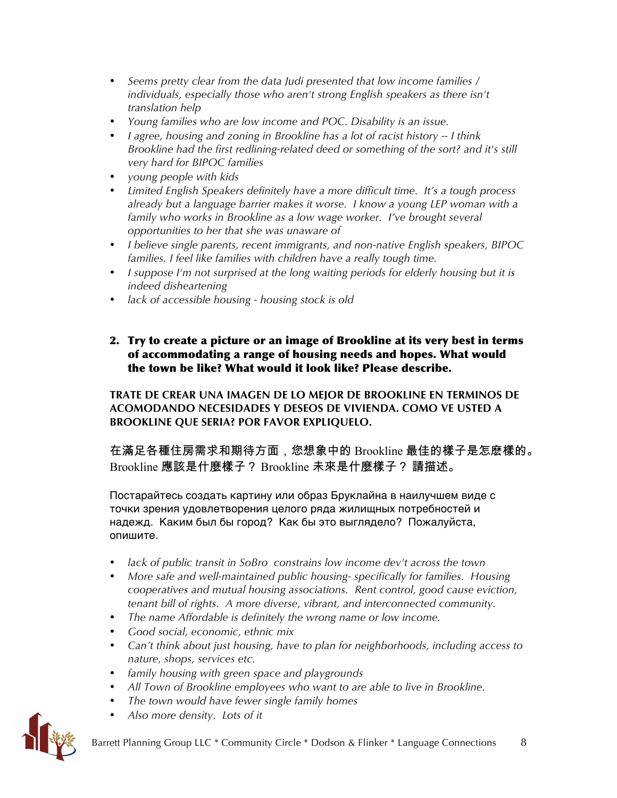- *Seems pretty clear from the data Judi presented that low income families / individuals, especially those who aren't strong English speakers as there isn't translation help*
- *Young families who are low income and POC. Disability is an issue.*
- *I agree, housing and zoning in Brookline has a lot of racist history -- I think Brookline had the first redlining-related deed or something of the sort? and it's still very hard for BIPOC families*
- *young people with kids*
- *Limited English Speakers definitely have a more difficult time. It's a tough process already but a language barrier makes it worse. I know a young LEP woman with a family who works in Brookline as a low wage worker. I've brought several opportunities to her that she was unaware of*
- *I believe single parents, recent immigrants, and non-native English speakers, BIPOC families. I feel like families with children have a really tough time.*
- *I suppose I'm not surprised at the long waiting periods for elderly housing but it is indeed disheartening*
- *lack of accessible housing - housing stock is old*

#### 2. Try to create a picture or an image of Brookline at its very best in terms of accommodating a range of housing needs and hopes. What would the town be like? What would it look like? Please describe.

**TRATE DE CREAR UNA IMAGEN DE LO MEJOR DE BROOKLINE EN TERMINOS DE ACOMODANDO NECESIDADES Y DESEOS DE VIVIENDA. COMO VE USTED A BROOKLINE QUE SERIA? POR FAVOR EXPLIQUELO.**

在滿足各種住房需求和期待方面,您想象中的 Brookline 最佳的樣子是怎麽樣的。 Brookline 應該是什麼樣子? Brookline 未來是什麼樣子? 請描述。

Постарайтесь создать картину или образ Бруклайна в наилучшем виде с точки зрения удовлетворения целого ряда жилищных потребностей и надежд. Каким был бы город? Как бы это выглядело? Пожалуйста, опишите.

- *lack of public transit in SoBro constrains low income dev't across the town*
- *More safe and well-maintained public housing- specifically for families. Housing cooperatives and mutual housing associations. Rent control, good cause eviction, tenant bill of rights. A more diverse, vibrant, and interconnected community.*
- *The name Affordable is definitely the wrong name or low income.*
- *Good social, economic, ethnic mix*
- *Can't think about just housing, have to plan for neighborhoods, including access to nature, shops, services etc.*
- *family housing with green space and playgrounds*
- *All Town of Brookline employees who want to are able to live in Brookline.*
- *The town would have fewer single family homes*
- *Also more density. Lots of it*

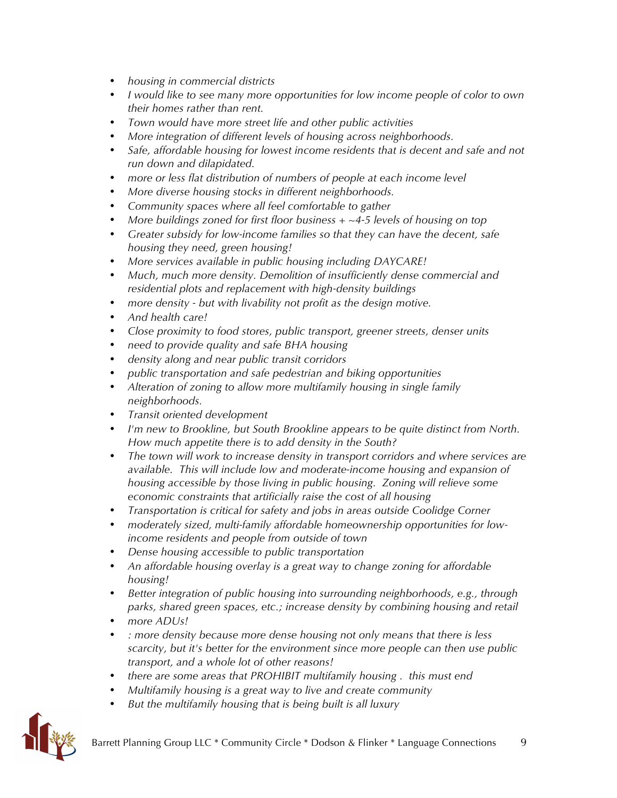- *housing in commercial districts*
- *I would like to see many more opportunities for low income people of color to own their homes rather than rent.*
- *Town would have more street life and other public activities*
- *More integration of different levels of housing across neighborhoods.*
- *Safe, affordable housing for lowest income residents that is decent and safe and not run down and dilapidated.*
- *more or less flat distribution of numbers of people at each income level*
- *More diverse housing stocks in different neighborhoods.*
- *Community spaces where all feel comfortable to gather*
- *More buildings zoned for first floor business + ~4-5 levels of housing on top*
- *Greater subsidy for low-income families so that they can have the decent, safe housing they need, green housing!*
- *More services available in public housing including DAYCARE!*
- *Much, much more density. Demolition of insufficiently dense commercial and residential plots and replacement with high-density buildings*
- *more density - but with livability not profit as the design motive.*
- *And health care!*
- *Close proximity to food stores, public transport, greener streets, denser units*
- *need to provide quality and safe BHA housing*
- *density along and near public transit corridors*
- *public transportation and safe pedestrian and biking opportunities*
- *Alteration of zoning to allow more multifamily housing in single family neighborhoods.*
- *Transit oriented development*
- *I'm new to Brookline, but South Brookline appears to be quite distinct from North. How much appetite there is to add density in the South?*
- *The town will work to increase density in transport corridors and where services are available. This will include low and moderate-income housing and expansion of housing accessible by those living in public housing. Zoning will relieve some economic constraints that artificially raise the cost of all housing*
- *Transportation is critical for safety and jobs in areas outside Coolidge Corner*
- *moderately sized, multi-family affordable homeownership opportunities for lowincome residents and people from outside of town*
- *Dense housing accessible to public transportation*
- *An affordable housing overlay is a great way to change zoning for affordable housing!*
- *Better integration of public housing into surrounding neighborhoods, e.g., through parks, shared green spaces, etc.; increase density by combining housing and retail*
- *more ADUs!*
- *: more density because more dense housing not only means that there is less scarcity, but it's better for the environment since more people can then use public transport, and a whole lot of other reasons!*
- *there are some areas that PROHIBIT multifamily housing . this must end*
- *Multifamily housing is a great way to live and create community*
- *But the multifamily housing that is being built is all luxury*

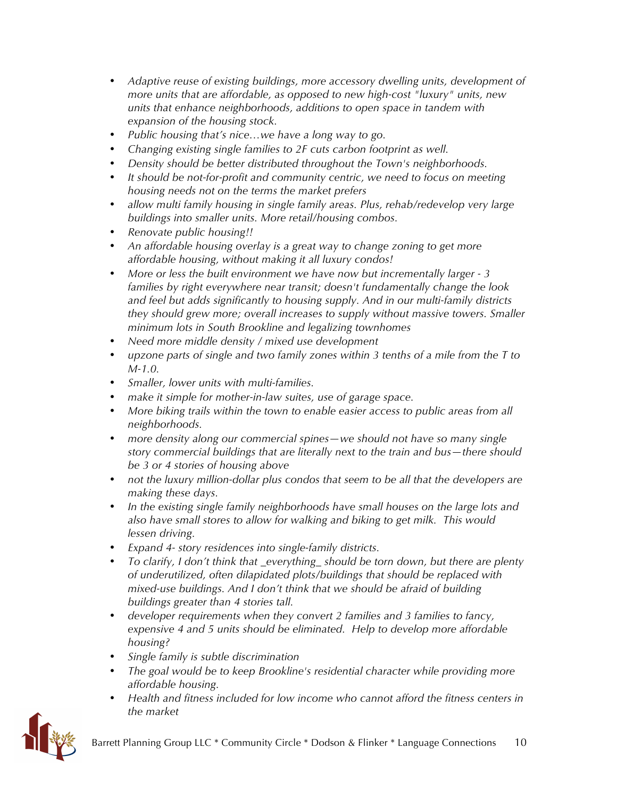- *Adaptive reuse of existing buildings, more accessory dwelling units, development of more units that are affordable, as opposed to new high-cost "luxury" units, new units that enhance neighborhoods, additions to open space in tandem with expansion of the housing stock.*
- *Public housing that's nice…we have a long way to go.*
- *Changing existing single families to 2F cuts carbon footprint as well.*
- *Density should be better distributed throughout the Town's neighborhoods.*
- *It should be not-for-profit and community centric, we need to focus on meeting housing needs not on the terms the market prefers*
- *allow multi family housing in single family areas. Plus, rehab/redevelop very large buildings into smaller units. More retail/housing combos.*
- *Renovate public housing!!*
- *An affordable housing overlay is a great way to change zoning to get more affordable housing, without making it all luxury condos!*
- *More or less the built environment we have now but incrementally larger - 3 families by right everywhere near transit; doesn't fundamentally change the look and feel but adds significantly to housing supply. And in our multi-family districts they should grew more; overall increases to supply without massive towers. Smaller minimum lots in South Brookline and legalizing townhomes*
- *Need more middle density / mixed use development*
- *upzone parts of single and two family zones within 3 tenths of a mile from the T to M-1.0.*
- *Smaller, lower units with multi-families.*
- *make it simple for mother-in-law suites, use of garage space.*
- *More biking trails within the town to enable easier access to public areas from all neighborhoods.*
- *more density along our commercial spines—we should not have so many single story commercial buildings that are literally next to the train and bus—there should be 3 or 4 stories of housing above*
- *not the luxury million-dollar plus condos that seem to be all that the developers are making these days.*
- *In the existing single family neighborhoods have small houses on the large lots and also have small stores to allow for walking and biking to get milk. This would lessen driving.*
- *Expand 4- story residences into single-family districts.*
- *To clarify, I don't think that \_everything\_ should be torn down, but there are plenty of underutilized, often dilapidated plots/buildings that should be replaced with mixed-use buildings. And I don't think that we should be afraid of building buildings greater than 4 stories tall.*
- *developer requirements when they convert 2 families and 3 families to fancy, expensive 4 and 5 units should be eliminated. Help to develop more affordable housing?*
- *Single family is subtle discrimination*
- *The goal would be to keep Brookline's residential character while providing more affordable housing.*
- *Health and fitness included for low income who cannot afford the fitness centers in the market*

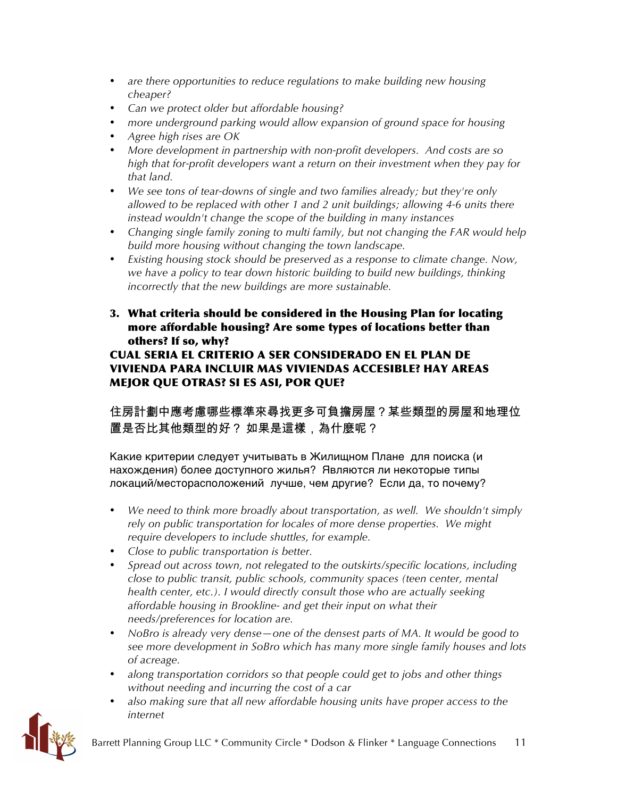- *are there opportunities to reduce regulations to make building new housing cheaper?*
- *Can we protect older but affordable housing?*
- *more underground parking would allow expansion of ground space for housing*
- *Agree high rises are OK*
- *More development in partnership with non-profit developers. And costs are so high that for-profit developers want a return on their investment when they pay for that land.*
- *We see tons of tear-downs of single and two families already; but they're only allowed to be replaced with other 1 and 2 unit buildings; allowing 4-6 units there instead wouldn't change the scope of the building in many instances*
- *Changing single family zoning to multi family, but not changing the FAR would help build more housing without changing the town landscape.*
- *Existing housing stock should be preserved as a response to climate change. Now, we have a policy to tear down historic building to build new buildings, thinking incorrectly that the new buildings are more sustainable.*
- 3. What criteria should be considered in the Housing Plan for locating more affordable housing? Are some types of locations better than others? If so, why?

# CUAL SERIA EL CRITERIO A SER CONSIDERADO EN EL PLAN DE VIVIENDA PARA INCLUIR MAS VIVIENDAS ACCESIBLE? HAY AREAS MEJOR QUE OTRAS? SI ES ASI, POR QUE?

住房計劃中應考慮哪些標準來尋找更多可負擔房屋?某些類型的房屋和地理位 置是否比其他類型的好? 如果是這樣,為什麼呢?

Какие критерии следует учитывать в Жилищном Плане для поиска (и нахождения) более доступного жилья? Являются ли некоторые типы локаций/месторасположений лучше, чем другие? Если да, то почему?

- *We need to think more broadly about transportation, as well. We shouldn't simply rely on public transportation for locales of more dense properties. We might require developers to include shuttles, for example.*
- *Close to public transportation is better.*
- *Spread out across town, not relegated to the outskirts/specific locations, including close to public transit, public schools, community spaces (teen center, mental health center, etc.). I would directly consult those who are actually seeking affordable housing in Brookline- and get their input on what their needs/preferences for location are.*
- *NoBro is already very dense—one of the densest parts of MA. It would be good to see more development in SoBro which has many more single family houses and lots of acreage.*
- *along transportation corridors so that people could get to jobs and other things without needing and incurring the cost of a car*
- *also making sure that all new affordable housing units have proper access to the internet*

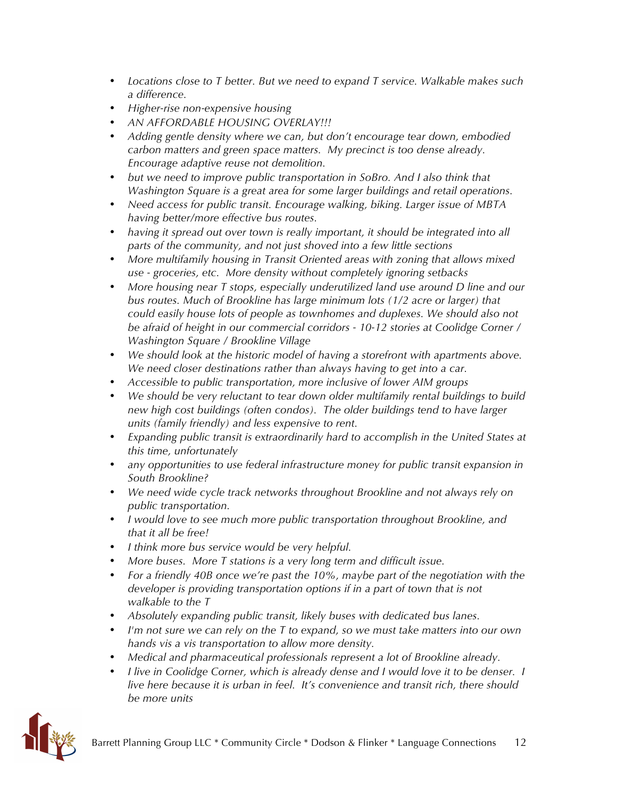- *Locations close to T better. But we need to expand T service. Walkable makes such a difference.*
- *Higher-rise non-expensive housing*
- *AN AFFORDABLE HOUSING OVERLAY!!!*
- *Adding gentle density where we can, but don't encourage tear down, embodied carbon matters and green space matters. My precinct is too dense already. Encourage adaptive reuse not demolition.*
- *but we need to improve public transportation in SoBro. And I also think that Washington Square is a great area for some larger buildings and retail operations.*
- *Need access for public transit. Encourage walking, biking. Larger issue of MBTA having better/more effective bus routes.*
- *having it spread out over town is really important, it should be integrated into all parts of the community, and not just shoved into a few little sections*
- *More multifamily housing in Transit Oriented areas with zoning that allows mixed use - groceries, etc. More density without completely ignoring setbacks*
- *More housing near T stops, especially underutilized land use around D line and our bus routes. Much of Brookline has large minimum lots (1/2 acre or larger) that could easily house lots of people as townhomes and duplexes. We should also not be afraid of height in our commercial corridors - 10-12 stories at Coolidge Corner / Washington Square / Brookline Village*
- *We should look at the historic model of having a storefront with apartments above. We need closer destinations rather than always having to get into a car.*
- *Accessible to public transportation, more inclusive of lower AIM groups*
- *We should be very reluctant to tear down older multifamily rental buildings to build new high cost buildings (often condos). The older buildings tend to have larger units (family friendly) and less expensive to rent.*
- *Expanding public transit is extraordinarily hard to accomplish in the United States at this time, unfortunately*
- *any opportunities to use federal infrastructure money for public transit expansion in South Brookline?*
- *We need wide cycle track networks throughout Brookline and not always rely on public transportation.*
- *I would love to see much more public transportation throughout Brookline, and that it all be free!*
- *I think more bus service would be very helpful.*
- *More buses. More T stations is a very long term and difficult issue.*
- *For a friendly 40B once we're past the 10%, maybe part of the negotiation with the developer is providing transportation options if in a part of town that is not walkable to the T*
- *Absolutely expanding public transit, likely buses with dedicated bus lanes.*
- *I'm not sure we can rely on the T to expand, so we must take matters into our own hands vis a vis transportation to allow more density.*
- *Medical and pharmaceutical professionals represent a lot of Brookline already.*
- *I live in Coolidge Corner, which is already dense and I would love it to be denser. I live here because it is urban in feel. It's convenience and transit rich, there should be more units*

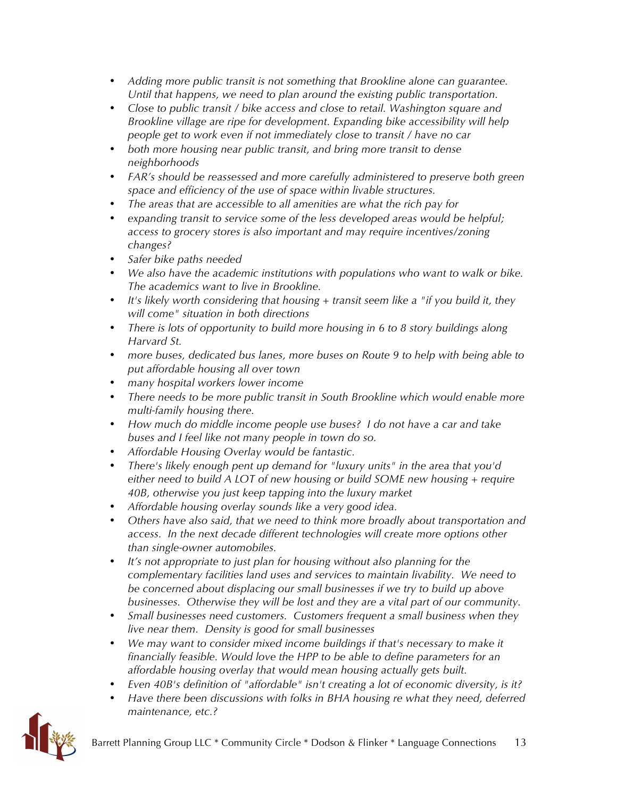- *Adding more public transit is not something that Brookline alone can guarantee. Until that happens, we need to plan around the existing public transportation.*
- *Close to public transit / bike access and close to retail. Washington square and Brookline village are ripe for development. Expanding bike accessibility will help people get to work even if not immediately close to transit / have no car*
- *both more housing near public transit, and bring more transit to dense neighborhoods*
- *FAR's should be reassessed and more carefully administered to preserve both green space and efficiency of the use of space within livable structures.*
- *The areas that are accessible to all amenities are what the rich pay for*
- *expanding transit to service some of the less developed areas would be helpful; access to grocery stores is also important and may require incentives/zoning changes?*
- *Safer bike paths needed*
- *We also have the academic institutions with populations who want to walk or bike. The academics want to live in Brookline.*
- *It's likely worth considering that housing + transit seem like a "if you build it, they will come" situation in both directions*
- *There is lots of opportunity to build more housing in 6 to 8 story buildings along Harvard St.*
- *more buses, dedicated bus lanes, more buses on Route 9 to help with being able to put affordable housing all over town*
- *many hospital workers lower income*
- *There needs to be more public transit in South Brookline which would enable more multi-family housing there.*
- *How much do middle income people use buses? I do not have a car and take buses and I feel like not many people in town do so.*
- *Affordable Housing Overlay would be fantastic.*
- *There's likely enough pent up demand for "luxury units" in the area that you'd either need to build A LOT of new housing or build SOME new housing + require 40B, otherwise you just keep tapping into the luxury market*
- *Affordable housing overlay sounds like a very good idea.*
- *Others have also said, that we need to think more broadly about transportation and access. In the next decade different technologies will create more options other than single-owner automobiles.*
- *It's not appropriate to just plan for housing without also planning for the complementary facilities land uses and services to maintain livability. We need to be concerned about displacing our small businesses if we try to build up above businesses. Otherwise they will be lost and they are a vital part of our community.*
- *Small businesses need customers. Customers frequent a small business when they live near them. Density is good for small businesses*
- *We may want to consider mixed income buildings if that's necessary to make it financially feasible. Would love the HPP to be able to define parameters for an affordable housing overlay that would mean housing actually gets built.*
- *Even 40B's definition of "affordable" isn't creating a lot of economic diversity, is it?*
- *Have there been discussions with folks in BHA housing re what they need, deferred maintenance, etc.?*

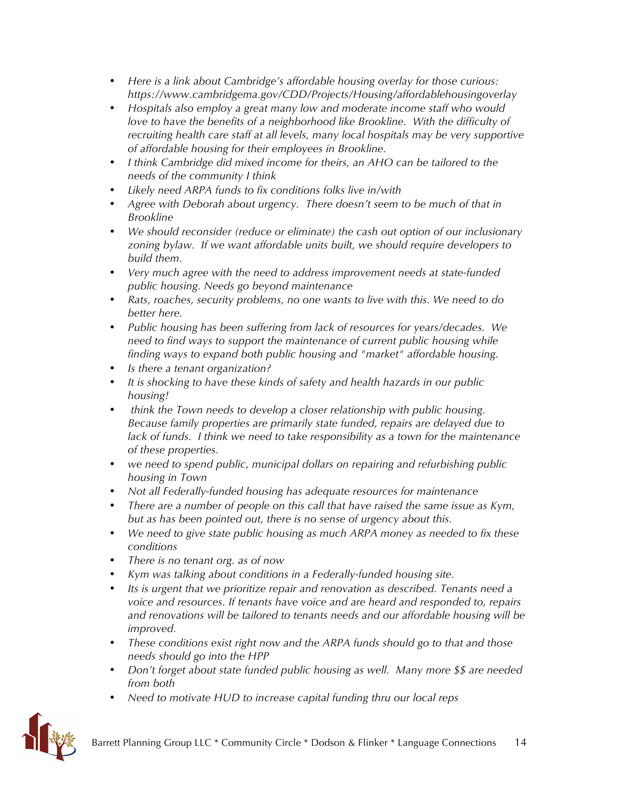- *Here is a link about Cambridge's affordable housing overlay for those curious: https://www.cambridgema.gov/CDD/Projects/Housing/affordablehousingoverlay*
- *Hospitals also employ a great many low and moderate income staff who would*  love to have the benefits of a neighborhood like Brookline. With the difficulty of *recruiting health care staff at all levels, many local hospitals may be very supportive of affordable housing for their employees in Brookline.*
- *I think Cambridge did mixed income for theirs, an AHO can be tailored to the needs of the community I think*
- *Likely need ARPA funds to fix conditions folks live in/with*
- *Agree with Deborah about urgency. There doesn't seem to be much of that in Brookline*
- *We should reconsider (reduce or eliminate) the cash out option of our inclusionary zoning bylaw. If we want affordable units built, we should require developers to build them.*
- *Very much agree with the need to address improvement needs at state-funded public housing. Needs go beyond maintenance*
- *Rats, roaches, security problems, no one wants to live with this. We need to do better here.*
- *Public housing has been suffering from lack of resources for years/decades. We need to find ways to support the maintenance of current public housing while finding ways to expand both public housing and "market" affordable housing.*
- *Is there a tenant organization?*
- *It is shocking to have these kinds of safety and health hazards in our public housing!*
- *think the Town needs to develop a closer relationship with public housing. Because family properties are primarily state funded, repairs are delayed due to lack of funds. I think we need to take responsibility as a town for the maintenance of these properties.*
- *we need to spend public, municipal dollars on repairing and refurbishing public housing in Town*
- *Not all Federally-funded housing has adequate resources for maintenance*
- *There are a number of people on this call that have raised the same issue as Kym, but as has been pointed out, there is no sense of urgency about this.*
- *We need to give state public housing as much ARPA money as needed to fix these conditions*
- *There is no tenant org. as of now*
- *Kym was talking about conditions in a Federally-funded housing site.*
- *Its is urgent that we prioritize repair and renovation as described. Tenants need a voice and resources. If tenants have voice and are heard and responded to, repairs and renovations will be tailored to tenants needs and our affordable housing will be improved.*
- *These conditions exist right now and the ARPA funds should go to that and those needs should go into the HPP*
- *Don't forget about state funded public housing as well. Many more \$\$ are needed from both*
- *Need to motivate HUD to increase capital funding thru our local reps*

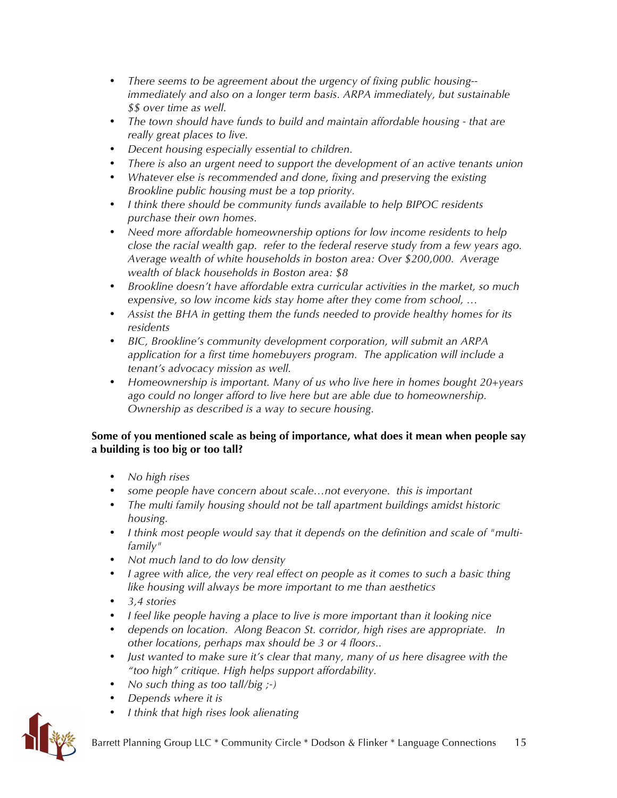- *There seems to be agreement about the urgency of fixing public housing- immediately and also on a longer term basis. ARPA immediately, but sustainable \$\$ over time as well.*
- *The town should have funds to build and maintain affordable housing - that are really great places to live.*
- *Decent housing especially essential to children.*
- *There is also an urgent need to support the development of an active tenants union*
- *Whatever else is recommended and done, fixing and preserving the existing Brookline public housing must be a top priority.*
- *I think there should be community funds available to help BIPOC residents purchase their own homes.*
- *Need more affordable homeownership options for low income residents to help close the racial wealth gap. refer to the federal reserve study from a few years ago. Average wealth of white households in boston area: Over \$200,000. Average wealth of black households in Boston area: \$8*
- *Brookline doesn't have affordable extra curricular activities in the market, so much expensive, so low income kids stay home after they come from school, …*
- *Assist the BHA in getting them the funds needed to provide healthy homes for its residents*
- *BIC, Brookline's community development corporation, will submit an ARPA application for a first time homebuyers program. The application will include a tenant's advocacy mission as well.*
- *Homeownership is important. Many of us who live here in homes bought 20+years ago could no longer afford to live here but are able due to homeownership. Ownership as described is a way to secure housing.*

#### **Some of you mentioned scale as being of importance, what does it mean when people say a building is too big or too tall?**

- *No high rises*
- *some people have concern about scale…not everyone. this is important*
- *The multi family housing should not be tall apartment buildings amidst historic housing.*
- *I think most people would say that it depends on the definition and scale of "multifamily"*
- *Not much land to do low density*
- *I agree with alice, the very real effect on people as it comes to such a basic thing like housing will always be more important to me than aesthetics*
- *3,4 stories*
- *I feel like people having a place to live is more important than it looking nice*
- *depends on location. Along Beacon St. corridor, high rises are appropriate. In other locations, perhaps max should be 3 or 4 floors..*
- *Just wanted to make sure it's clear that many, many of us here disagree with the "too high" critique. High helps support affordability.*
- *No such thing as too tall/big ;-)*
- *Depends where it is*
- *I think that high rises look alienating*

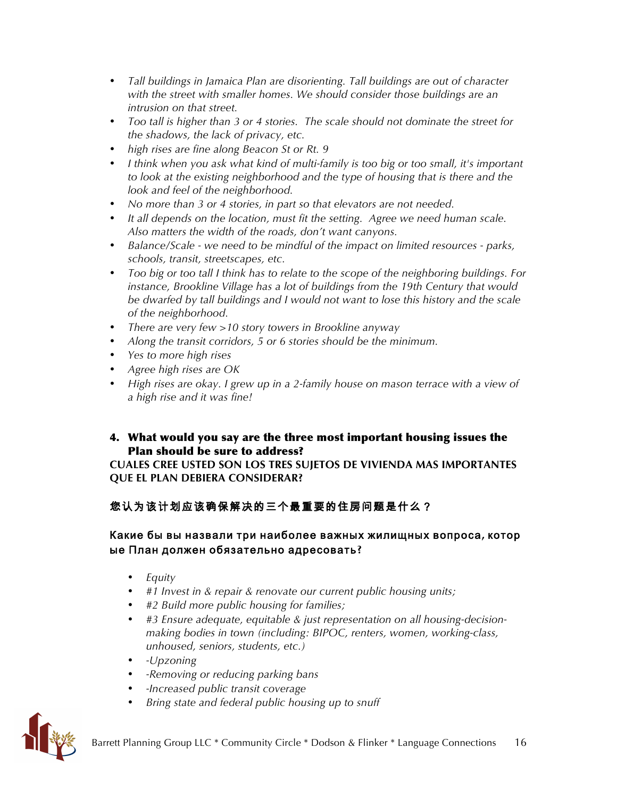- *Tall buildings in Jamaica Plan are disorienting. Tall buildings are out of character with the street with smaller homes. We should consider those buildings are an intrusion on that street.*
- *Too tall is higher than 3 or 4 stories. The scale should not dominate the street for the shadows, the lack of privacy, etc.*
- *high rises are fine along Beacon St or Rt. 9*
- *I think when you ask what kind of multi-family is too big or too small, it's important to look at the existing neighborhood and the type of housing that is there and the look and feel of the neighborhood.*
- *No more than 3 or 4 stories, in part so that elevators are not needed.*
- *It all depends on the location, must fit the setting. Agree we need human scale. Also matters the width of the roads, don't want canyons.*
- *Balance/Scale - we need to be mindful of the impact on limited resources - parks, schools, transit, streetscapes, etc.*
- *Too big or too tall I think has to relate to the scope of the neighboring buildings. For instance, Brookline Village has a lot of buildings from the 19th Century that would be dwarfed by tall buildings and I would not want to lose this history and the scale of the neighborhood.*
- *There are very few >10 story towers in Brookline anyway*
- *Along the transit corridors, 5 or 6 stories should be the minimum.*
- *Yes to more high rises*
- *Agree high rises are OK*
- *High rises are okay. I grew up in a 2-family house on mason terrace with a view of a high rise and it was fine!*

### 4. What would you say are the three most important housing issues the Plan should be sure to address?

**CUALES CREE USTED SON LOS TRES SUJETOS DE VIVIENDA MAS IMPORTANTES QUE EL PLAN DEBIERA CONSIDERAR?** 

# 您认为该计划应该确保解决的三个最重要的住房问题是什么?

### Какие бы вы назвали три наиболее важных жилищных вопроса**,** котор ые План должен обязательно адресовать**?**

- *Equity*
- *#1 Invest in & repair & renovate our current public housing units;*
- *#2 Build more public housing for families;*
- *#3 Ensure adequate, equitable & just representation on all housing-decisionmaking bodies in town (including: BIPOC, renters, women, working-class, unhoused, seniors, students, etc.)*
- *-Upzoning*
- *-Removing or reducing parking bans*
- *-Increased public transit coverage*
- *Bring state and federal public housing up to snuff*

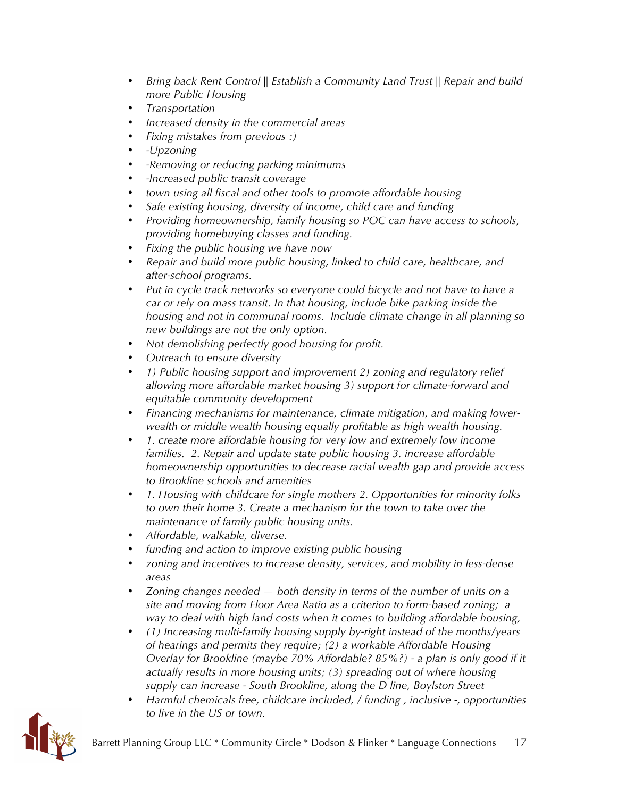- *Bring back Rent Control || Establish a Community Land Trust || Repair and build more Public Housing*
- *Transportation*
- *Increased density in the commercial areas*
- *Fixing mistakes from previous :)*
- *-Upzoning*
- *-Removing or reducing parking minimums*
- *-Increased public transit coverage*
- *town using all fiscal and other tools to promote affordable housing*
- *Safe existing housing, diversity of income, child care and funding*
- *Providing homeownership, family housing so POC can have access to schools, providing homebuying classes and funding.*
- *Fixing the public housing we have now*
- *Repair and build more public housing, linked to child care, healthcare, and after-school programs.*
- *Put in cycle track networks so everyone could bicycle and not have to have a car or rely on mass transit. In that housing, include bike parking inside the housing and not in communal rooms. Include climate change in all planning so new buildings are not the only option.*
- *Not demolishing perfectly good housing for profit.*
- *Outreach to ensure diversity*
- *1) Public housing support and improvement 2) zoning and regulatory relief allowing more affordable market housing 3) support for climate-forward and equitable community development*
- *Financing mechanisms for maintenance, climate mitigation, and making lowerwealth or middle wealth housing equally profitable as high wealth housing.*
- *1. create more affordable housing for very low and extremely low income families. 2. Repair and update state public housing 3. increase affordable homeownership opportunities to decrease racial wealth gap and provide access to Brookline schools and amenities*
- *1. Housing with childcare for single mothers 2. Opportunities for minority folks to own their home 3. Create a mechanism for the town to take over the maintenance of family public housing units.*
- *Affordable, walkable, diverse.*
- *funding and action to improve existing public housing*
- *zoning and incentives to increase density, services, and mobility in less-dense areas*
- *Zoning changes needed — both density in terms of the number of units on a site and moving from Floor Area Ratio as a criterion to form-based zoning; a way to deal with high land costs when it comes to building affordable housing,*
- *(1) Increasing multi-family housing supply by-right instead of the months/years of hearings and permits they require; (2) a workable Affordable Housing Overlay for Brookline (maybe 70% Affordable? 85%?) - a plan is only good if it actually results in more housing units; (3) spreading out of where housing supply can increase - South Brookline, along the D line, Boylston Street*
- *Harmful chemicals free, childcare included, / funding , inclusive -, opportunities to live in the US or town.*

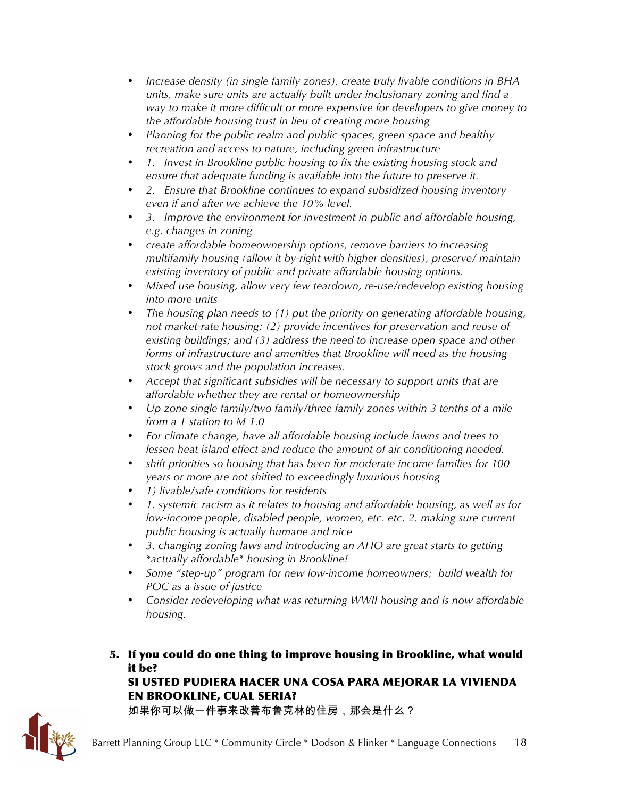- *Increase density (in single family zones), create truly livable conditions in BHA units, make sure units are actually built under inclusionary zoning and find a way to make it more difficult or more expensive for developers to give money to the affordable housing trust in lieu of creating more housing*
- *Planning for the public realm and public spaces, green space and healthy recreation and access to nature, including green infrastructure*
- *1. Invest in Brookline public housing to fix the existing housing stock and ensure that adequate funding is available into the future to preserve it.*
- *2. Ensure that Brookline continues to expand subsidized housing inventory even if and after we achieve the 10% level.*
- *3. Improve the environment for investment in public and affordable housing, e.g. changes in zoning*
- *create affordable homeownership options, remove barriers to increasing multifamily housing (allow it by-right with higher densities), preserve/ maintain existing inventory of public and private affordable housing options.*
- *Mixed use housing, allow very few teardown, re-use/redevelop existing housing into more units*
- *The housing plan needs to (1) put the priority on generating affordable housing, not market-rate housing; (2) provide incentives for preservation and reuse of existing buildings; and (3) address the need to increase open space and other forms of infrastructure and amenities that Brookline will need as the housing stock grows and the population increases.*
- *Accept that significant subsidies will be necessary to support units that are affordable whether they are rental or homeownership*
- *Up zone single family/two family/three family zones within 3 tenths of a mile from a T station to M 1.0*
- *For climate change, have all affordable housing include lawns and trees to lessen heat island effect and reduce the amount of air conditioning needed.*
- *shift priorities so housing that has been for moderate income families for 100 years or more are not shifted to exceedingly luxurious housing*
- *1) livable/safe conditions for residents*
- *1. systemic racism as it relates to housing and affordable housing, as well as for low-income people, disabled people, women, etc. etc. 2. making sure current public housing is actually humane and nice*
- *3. changing zoning laws and introducing an AHO are great starts to getting \*actually affordable\* housing in Brookline!*
- *Some "step-up" program for new low-income homeowners; build wealth for POC as a issue of justice*
- *Consider redeveloping what was returning WWII housing and is now affordable housing.*
- 5. If you could do one thing to improve housing in Brookline, what would it be?

SI USTED PUDIERA HACER UNA COSA PARA MEJORAR LA VIVIENDA EN BROOKLINE, CUAL SERIA?

如果你可以做一件事来改善布鲁克林的住房,那会是什么?

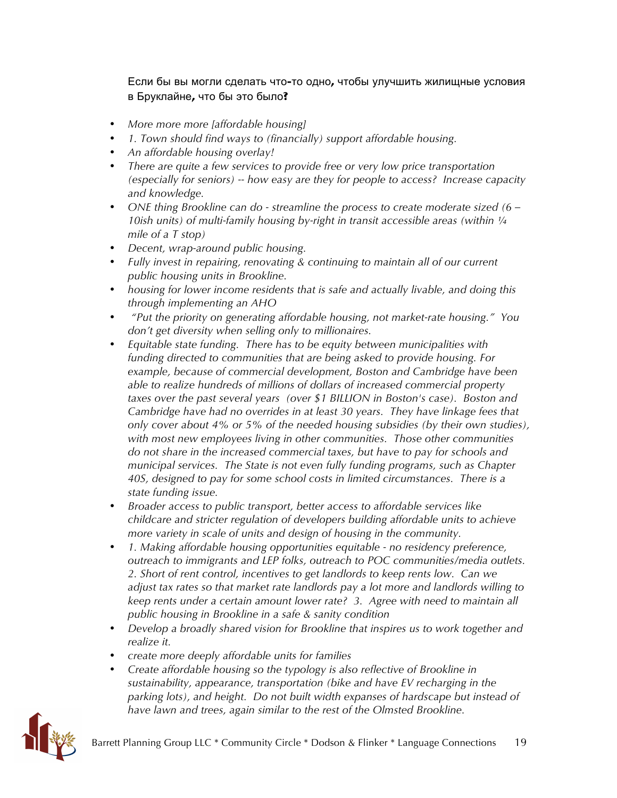Если бы вы могли сделать что-то одно, чтобы улучшить жилищные условия в Бруклайне, что бы это было?

- *More more more [affordable housing]*
- *1. Town should find ways to (financially) support affordable housing.*
- *An affordable housing overlay!*
- *There are quite a few services to provide free or very low price transportation (especially for seniors) -- how easy are they for people to access? Increase capacity and knowledge.*
- *ONE thing Brookline can do - streamline the process to create moderate sized (6 – 10ish units) of multi-family housing by-right in transit accessible areas (within*  $\frac{1}{4}$ *mile of a T stop)*
- *Decent, wrap-around public housing.*
- *Fully invest in repairing, renovating & continuing to maintain all of our current public housing units in Brookline.*
- *housing for lower income residents that is safe and actually livable, and doing this through implementing an AHO*
- *"Put the priority on generating affordable housing, not market-rate housing." You don't get diversity when selling only to millionaires.*
- *Equitable state funding. There has to be equity between municipalities with funding directed to communities that are being asked to provide housing. For example, because of commercial development, Boston and Cambridge have been able to realize hundreds of millions of dollars of increased commercial property taxes over the past several years (over \$1 BILLION in Boston's case). Boston and Cambridge have had no overrides in at least 30 years. They have linkage fees that only cover about 4% or 5% of the needed housing subsidies (by their own studies), with most new employees living in other communities. Those other communities do not share in the increased commercial taxes, but have to pay for schools and municipal services. The State is not even fully funding programs, such as Chapter 40S, designed to pay for some school costs in limited circumstances. There is a state funding issue.*
- *Broader access to public transport, better access to affordable services like childcare and stricter regulation of developers building affordable units to achieve more variety in scale of units and design of housing in the community.*
- *1. Making affordable housing opportunities equitable - no residency preference, outreach to immigrants and LEP folks, outreach to POC communities/media outlets. 2. Short of rent control, incentives to get landlords to keep rents low. Can we adjust tax rates so that market rate landlords pay a lot more and landlords willing to keep rents under a certain amount lower rate? 3. Agree with need to maintain all public housing in Brookline in a safe & sanity condition*
- *Develop a broadly shared vision for Brookline that inspires us to work together and realize it.*
- *create more deeply affordable units for families*
- *Create affordable housing so the typology is also reflective of Brookline in sustainability, appearance, transportation (bike and have EV recharging in the parking lots), and height. Do not built width expanses of hardscape but instead of have lawn and trees, again similar to the rest of the Olmsted Brookline.*

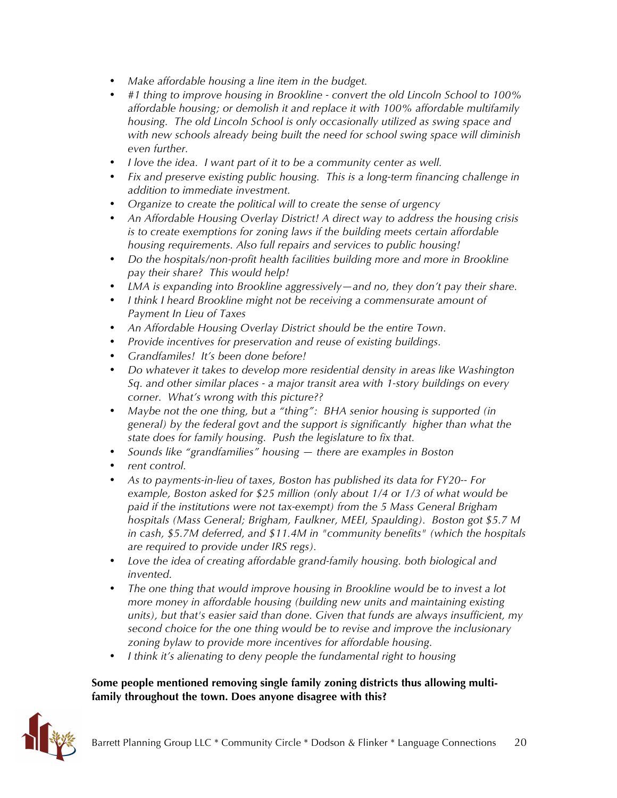- *Make affordable housing a line item in the budget.*
- *#1 thing to improve housing in Brookline - convert the old Lincoln School to 100% affordable housing; or demolish it and replace it with 100% affordable multifamily housing. The old Lincoln School is only occasionally utilized as swing space and with new schools already being built the need for school swing space will diminish even further.*
- *I love the idea. I want part of it to be a community center as well.*
- *Fix and preserve existing public housing. This is a long-term financing challenge in addition to immediate investment.*
- *Organize to create the political will to create the sense of urgency*
- *An Affordable Housing Overlay District! A direct way to address the housing crisis is to create exemptions for zoning laws if the building meets certain affordable housing requirements. Also full repairs and services to public housing!*
- *Do the hospitals/non-profit health facilities building more and more in Brookline pay their share? This would help!*
- *LMA is expanding into Brookline aggressively—and no, they don't pay their share.*
- *I think I heard Brookline might not be receiving a commensurate amount of Payment In Lieu of Taxes*
- *An Affordable Housing Overlay District should be the entire Town.*
- *Provide incentives for preservation and reuse of existing buildings.*
- *Grandfamiles! It's been done before!*
- *Do whatever it takes to develop more residential density in areas like Washington Sq. and other similar places - a major transit area with 1-story buildings on every corner. What's wrong with this picture??*
- *Maybe not the one thing, but a "thing": BHA senior housing is supported (in general) by the federal govt and the support is significantly higher than what the state does for family housing. Push the legislature to fix that.*
- *Sounds like "grandfamilies" housing — there are examples in Boston*
- *rent control.*
- *As to payments-in-lieu of taxes, Boston has published its data for FY20-- For example, Boston asked for \$25 million (only about 1/4 or 1/3 of what would be paid if the institutions were not tax-exempt) from the 5 Mass General Brigham hospitals (Mass General; Brigham, Faulkner, MEEI, Spaulding). Boston got \$5.7 M in cash, \$5.7M deferred, and \$11.4M in "community benefits" (which the hospitals are required to provide under IRS regs).*
- *Love the idea of creating affordable grand-family housing. both biological and invented.*
- *The one thing that would improve housing in Brookline would be to invest a lot more money in affordable housing (building new units and maintaining existing units), but that's easier said than done. Given that funds are always insufficient, my second choice for the one thing would be to revise and improve the inclusionary zoning bylaw to provide more incentives for affordable housing.*
- *I think it's alienating to deny people the fundamental right to housing*

#### **Some people mentioned removing single family zoning districts thus allowing multifamily throughout the town. Does anyone disagree with this?**

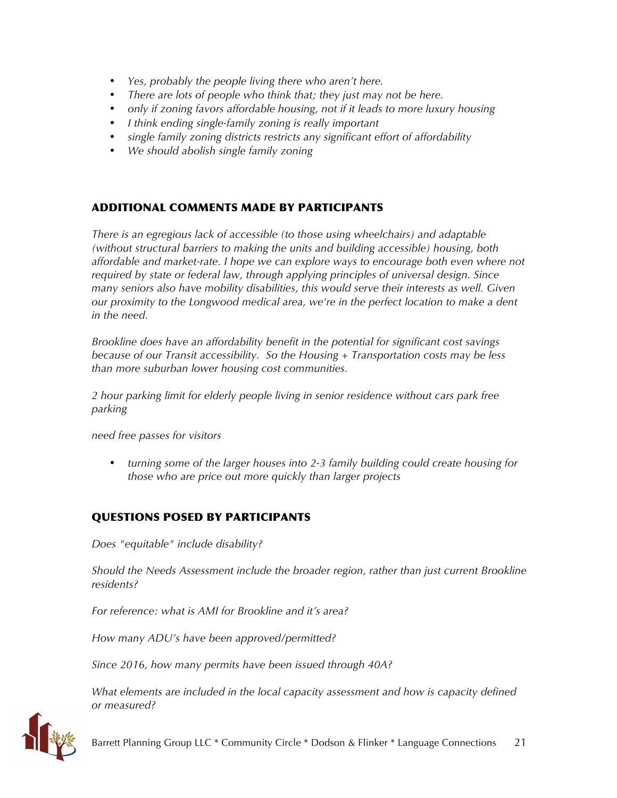- *Yes, probably the people living there who aren't here.*
- *There are lots of people who think that; they just may not be here.*
- *only if zoning favors affordable housing, not if it leads to more luxury housing*
- *I think ending single-family zoning is really important*
- *single family zoning districts restricts any significant effort of affordability*
- *We should abolish single family zoning*

# ADDITIONAL COMMENTS MADE BY PARTICIPANTS

*There is an egregious lack of accessible (to those using wheelchairs) and adaptable (without structural barriers to making the units and building accessible) housing, both affordable and market-rate. I hope we can explore ways to encourage both even where not required by state or federal law, through applying principles of universal design. Since many seniors also have mobility disabilities, this would serve their interests as well. Given our proximity to the Longwood medical area, we're in the perfect location to make a dent in the need.*

*Brookline does have an affordability benefit in the potential for significant cost savings because of our Transit accessibility. So the Housing + Transportation costs may be less than more suburban lower housing cost communities.*

*2 hour parking limit for elderly people living in senior residence without cars park free parking* 

*need free passes for visitors*

• *turning some of the larger houses into 2-3 family building could create housing for those who are price out more quickly than larger projects*

# QUESTIONS POSED BY PARTICIPANTS

*Does "equitable" include disability?*

*Should the Needs Assessment include the broader region, rather than just current Brookline residents?*

*For reference: what is AMI for Brookline and it's area?*

*How many ADU's have been approved/permitted?*

*Since 2016, how many permits have been issued through 40A?*

*What elements are included in the local capacity assessment and how is capacity defined or measured?*